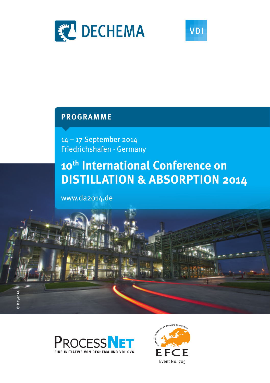



## **programme**

14 – 17 September 2014 Friedrichshafen · Germany

# **10th International Conference on DISTILLATION & ABSORPTION 2014**

www.da2014.de





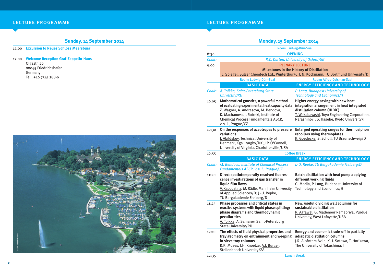## **Sunday, 14 September 2014**

|  | 14:00 Excursion to Neues Schloss Meersburg |  |  |  |  |  |  |
|--|--------------------------------------------|--|--|--|--|--|--|
|--|--------------------------------------------|--|--|--|--|--|--|

17:00 **Welcome Reception Graf-Zeppelin-Haus** Olgastr. 20 88045 Friedrichshafen Germany Tel.: +49 7541 288-0



| LECTURE PROGRAMME | <b>LECTURE PROGRAMME</b> |
|-------------------|--------------------------|
|                   |                          |

## **Monday, 15 September 2014**

|        | <u>.,, -, - - - -  -</u>                                                                                                                                                                                                                  |                                                                                                                                                                                                                |  |  |
|--------|-------------------------------------------------------------------------------------------------------------------------------------------------------------------------------------------------------------------------------------------|----------------------------------------------------------------------------------------------------------------------------------------------------------------------------------------------------------------|--|--|
|        |                                                                                                                                                                                                                                           | Room: Ludwig-Dürr-Saal                                                                                                                                                                                         |  |  |
| 8:30   | <b>OPENING</b>                                                                                                                                                                                                                            |                                                                                                                                                                                                                |  |  |
| Chair: |                                                                                                                                                                                                                                           | R.C. Darton, University of Oxford/UK                                                                                                                                                                           |  |  |
| 9:00   |                                                                                                                                                                                                                                           | <b>PLENARY LECTURE</b>                                                                                                                                                                                         |  |  |
|        | <b>Milestones in the History of Distillation</b><br>L. Spiegel, Sulzer Chemtech Ltd., Winterthur/CH, N. Kockmann, TU Dortmund University/D                                                                                                |                                                                                                                                                                                                                |  |  |
|        |                                                                                                                                                                                                                                           |                                                                                                                                                                                                                |  |  |
|        | Room: Ludwig-Dürr-Saal                                                                                                                                                                                                                    | Room: Alfred-Colsman-Saal                                                                                                                                                                                      |  |  |
|        | <b>BASIC DATA</b>                                                                                                                                                                                                                         | <b>ENERGY EFFICIENCY AND TECHNOLOGY</b>                                                                                                                                                                        |  |  |
| Chair: | A. Toikka, Saint-Petersburg State<br><b>University/RU</b>                                                                                                                                                                                 | P. Lang, Budapest University of<br><b>Technology and Economics/H</b>                                                                                                                                           |  |  |
| 10:05  | Mathematical gnostics, a powerful method<br>of evaluating experimental heat capacity data<br>Z. Wagner, A. Andresova, M. Bendova,<br>K. Machanova, J. Rotrekl, Institute of<br>Chemical Process Fundamentals ASCR,<br>v. v. i., Prague/CZ | Higher energy saving with new heat<br>integration arrangement in heat integrated<br>distillation column (HIDiC)<br>T. Wakabayashi, Toyo Engineering Corporation,<br>Narashino/J; S. Hasebe, Kyoto University/J |  |  |
| 10:30  | On the responses of azeotropes to pressure<br>variations<br>J. Abildskov, Technical University of<br>Denmark, Kgs. Lyngby/DK; J.P. O'Connell,<br>University of Virginia, Charlottesville/USA                                              | <b>Enlarged operating ranges for thermosiphon</b><br>reboilers using thermoplates<br>R. Goedecke, S. Scholl, TU Braunschweig/D                                                                                 |  |  |
| 10:55  |                                                                                                                                                                                                                                           | <b>Coffee Break</b>                                                                                                                                                                                            |  |  |
|        | <b>BASIC DATA</b>                                                                                                                                                                                                                         | <b>ENERGY EFFICIENCY AND TECHNOLOGY</b>                                                                                                                                                                        |  |  |
| Chair: | M. Bendova, Institute of Chemical Process<br>Fundamentals ASCR, v. v. i., Prague/CZ                                                                                                                                                       | J.-U. Repke, TU Bergakademie Freiberg/D                                                                                                                                                                        |  |  |
| 11:20  | Direct spatiotemporally resolved fluores-<br>cence investigations of gas transfer in<br>liquid film flows<br>V. Kapoustina, M. Rädle, Mannheim University<br>of Applied Sciences/D; J.-U. Repke,<br>TU Bergakademie Freiberg/D            | Batch distillation with heat pump applying<br>different working fluids<br>G. Modla, P. Lang, Budapest University of<br>Technology and Economics/H                                                              |  |  |
| 11:45  | Phase processes and critical states in<br>reactive systems with liquid phase splitting:<br>phase diagrams and thermodynamic<br>peculiarities<br>A. Toikka, A. Samarov, Saint-Petersburg<br>State University/RU                            | New, useful dividing wall columns for<br>sustainable distillation<br>R. Agrawal, G. Madenoor Ramapriya, Purdue<br>University, West Lafayette/USA                                                               |  |  |
| 12:10  | The effects of fluid physical properties and<br>tray geometry on entrainment and weeping<br>in sieve tray columns<br>R.K. Moses, J.H. Knoetze, A.J. Burger,<br>Stellenbosch University/ZA                                                 | Energy and economic trade-off in partially<br>adiabatic distillation columns<br>J.R. Alcántara Avila, K.-I. Sotowa, T. Horikawa,<br>The University of Tokushima/J                                              |  |  |

12:35 Lunch Break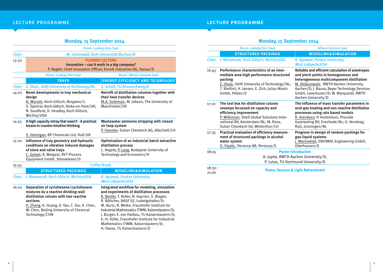|        | <b>Monday, 15 September 2014</b>                                                                                                                                                                 |                                                                                                                                                    |
|--------|--------------------------------------------------------------------------------------------------------------------------------------------------------------------------------------------------|----------------------------------------------------------------------------------------------------------------------------------------------------|
|        |                                                                                                                                                                                                  | Room: Ludwig-Dürr-Saal                                                                                                                             |
| Chair: |                                                                                                                                                                                                  | M. Grünewald, Ruhr-Universität Bochum/D                                                                                                            |
| 13:30  |                                                                                                                                                                                                  | <b>PLENARY LECTURE</b><br>Innovation - can it work in a big company?<br>P. Nagler, Chief Innovation Officer, Evonik Industries AG, Hanau/D         |
|        | Room: Ludwig-Dürr-Saal                                                                                                                                                                           | Room: Alfred-Colsman-Saal                                                                                                                          |
|        | <b>TRAYS</b>                                                                                                                                                                                     | <b>ENERGY EFFICIENCY AND TECHNOLOGY</b>                                                                                                            |
| Chair: | Z. Olujic, Delft University of Technology/NL                                                                                                                                                     | S. Scholl, TU Braunschweig/D                                                                                                                       |
| 14:20  | Novel developments in tray mechanical<br>design<br>N. Morotti, Koch-Glitsch, Bergamo/I;<br>G. Spencer, Koch-Glitsch, Stoke-on-Trent/UK;<br>N. Sandford, D. Headley, Koch-Glitsch,<br>Wichita/USA | Retrofit of distillation columns together with<br>their heat transfer devices<br>M.A. Suleiman, M. Jobson, The University of<br>Manchester/UK      |
| 14:55  | A high capacity retray that wasn't - A practical<br>lesson in counter-intuitive thinking<br>S. Hennigan, BP Chemicals Ltd, Hull/UK                                                               | Wastewater ammonia stripping with closed<br>air loop system<br>P. Faessler, Sulzer Chemtech AG, Allschwil/CH                                       |
| 15:20  | Influence of tray geometry and hydraulic<br>conditions on vibration induced damages<br>of sieve and valve trays<br>C. Geipel, A. Wolgast, RVT Process<br>Equipment GmbH, Steinwiesen/D           | Optimization of an industrial batch extractive<br>distillation process<br>L. Hegely, P. Lang, Budapest University of<br>Technology and Economics/H |
| 15:55  |                                                                                                                                                                                                  | <b>Coffee Break</b>                                                                                                                                |
|        | <b>STRUCTURED PACKINGS</b>                                                                                                                                                                       | <b>MODELING&amp;SIMULATION</b>                                                                                                                     |
| Chair: | I. Nieuwoudt, Koch-Glitsch, Wichita/USA                                                                                                                                                          | R. Agrawal, Purdue University,<br><b>West Lafavette/USA</b>                                                                                        |
| 16:20  | Separation of cyclohexene/cyclohexane<br>mixtures by a reactive dividing-wall                                                                                                                    | Integrated workflow for modeling, simulation<br>and experiments of distillation processes                                                          |

R. Benfer, T. Keller, N. Asprion, S. Blagov, R. Böttcher, BASF SE, Ludwigshafen/D; M. Bortz, R. Welke, Fraunhofer Institute for Industrial Mathematics ITWM, Kaiserslautern/D; J. Burger, E. von Harbou, TU Kaiserslautern/D; K.-H. Küfer, Fraunhofer Institute for Industrial Mathematics ITWM, Kaiserslautern/D; H. Hasse, TU Kaiserslautern/D

**mixtures by a reactive dividing-wall distillation column with two reactive sections** H. Zhang, K. Huang, X. Yao, C. Xia, H. Chen, W. Chen, Beijing University of Chemical Technology/CHN

**LECTURE PROGRAMME** 

## **Monday, 15 September 2014**

|                   | Room: Ludwig-Dürr-Saal                                                                                                                                                                                                         | <b>Alfred-Colsman-Saal</b>                                                                                                                                                                                                                                                                        |
|-------------------|--------------------------------------------------------------------------------------------------------------------------------------------------------------------------------------------------------------------------------|---------------------------------------------------------------------------------------------------------------------------------------------------------------------------------------------------------------------------------------------------------------------------------------------------|
|                   | <b>STRUCTURED PACKINGS</b>                                                                                                                                                                                                     | <b>MODELING&amp;SIMULATION</b>                                                                                                                                                                                                                                                                    |
| Chair:            | I. Nieuwoudt, Koch-Glitsch, Wichita/USA                                                                                                                                                                                        | R. Agrawal, Purdue University,<br><b>West Lafayette/USA</b>                                                                                                                                                                                                                                       |
| 16:45             | Performance characteristics of an inter-<br>mediate area high performance structured<br>packing<br>Z. Olujic, Delft University of Technology/NL;<br>T. Rietfort, H. Jansen, E. Zich, Julius Montz<br>GmbH, Hilden/D            | Reliable and efficient calculation of azeotropes<br>and pinch points in homogeneous and<br>heterogeneous multicomponent distillation<br>M. Skiborowski, RWTH Aachen University,<br>Aachen/D; J. Bausa, Bayer Technology Services<br>GmbH, Leverkusen/D; W. Marquardt, RWTH<br>Aachen University/D |
| 17:10             | The tool box for distillation column<br>revamps focussed on capacity and<br>efficiency improvement<br>P. Wilkinson, Shell Global Solutions Inter-<br>national BV, Amsterdam/NL; M. Roza,<br>Sulzer Chemtech ltd, Winterthur/CH | The influence of mass transfer parameters in<br>acid-gas treating and non-reactive distillation<br>processes using rate based models<br>R. Arendsen, P. Huttenhuis, Procede<br>Gastreating BV, Enschede/NL; G. Versteeg,<br>RuG, Groningen/NL                                                     |
| 17:35             | Practical evaluation of efficiency measure-<br>ment of structured packings in alcohol<br>water system<br>O. Pajalic, Perstorp AB, Perstorp/S                                                                                   | Progress in design of random packings for<br>gas-liquid systems<br>J. Mackowiak, ENVIMAC Engineering GmbH,<br>Oberhausen/D                                                                                                                                                                        |
| 18:05             | <b>Poster Introduction</b><br>A. Jupke, RWTH Aachen University/D,<br>P. Lutze, TU Dortmund University/D                                                                                                                        |                                                                                                                                                                                                                                                                                                   |
| $18:30-$<br>21:00 | <b>Poster Session &amp; Light Refreshment</b>                                                                                                                                                                                  |                                                                                                                                                                                                                                                                                                   |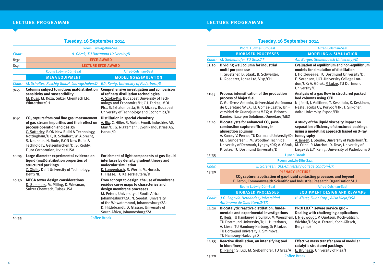## LECTURE PROGRAMME

| Tuesday, 16 September 2014                                                                                                                                                                                                                                                                                                                             |                                                                                                                                                                                                                                                                                                                                |
|--------------------------------------------------------------------------------------------------------------------------------------------------------------------------------------------------------------------------------------------------------------------------------------------------------------------------------------------------------|--------------------------------------------------------------------------------------------------------------------------------------------------------------------------------------------------------------------------------------------------------------------------------------------------------------------------------|
|                                                                                                                                                                                                                                                                                                                                                        | Room: Ludwig-Dürr-Saal                                                                                                                                                                                                                                                                                                         |
|                                                                                                                                                                                                                                                                                                                                                        | A. Górak, TU Dortmund University/D                                                                                                                                                                                                                                                                                             |
|                                                                                                                                                                                                                                                                                                                                                        | <b>EFCE-AWARD</b>                                                                                                                                                                                                                                                                                                              |
|                                                                                                                                                                                                                                                                                                                                                        | <b>LECTURE EFCE-AWARD</b>                                                                                                                                                                                                                                                                                                      |
| Room: Ludwig-Dürr-Saal                                                                                                                                                                                                                                                                                                                                 | <b>Alfred-Colsman-Saal</b>                                                                                                                                                                                                                                                                                                     |
| <b>MEGA EQUIPMENT</b>                                                                                                                                                                                                                                                                                                                                  | <b>MODELING&amp;SIMULATION</b>                                                                                                                                                                                                                                                                                                 |
| M. Schultes, Raschig GmbH, Ludwigshafen/D                                                                                                                                                                                                                                                                                                              | E.Y. Kenig, University of Paderborn/D                                                                                                                                                                                                                                                                                          |
| sensitivity and susceptibility<br>M. Duss, M. Roza, Sulzer Chemtech Ltd,<br>Winterthur/CH                                                                                                                                                                                                                                                              | Comprehensive investigation and comparison<br>of refinery distillation technologies<br>A. Szoke-Kis, Budapest University of Tech-<br>nology and Economics/H; C.I. Farkas, MOL<br>Plc., Százhalombatta/H; P. Mizsey, Budapest<br>University of Technology and Economics/H                                                       |
| CO <sub>2</sub> capture from coal flue gas: measurement<br>of gas stream impurities and their effect on<br>process operation and design<br>C. Satterley, E.ON New Build & Technology,<br>Nottingham/UK; B. Schallert, W. Albrecht,<br>S. Neuhaus, H. Rode, E.ON New Build &<br>Technology, Gelsenkirchen/D; S. Reddy,<br>Fluor Corporation, Irvine/USA | <b>Distillation in special chemistry</b><br>A. Rix, C. Hiller, R. Meier, Evonik Industries AG,<br>Marl/D; G. Niggemann, Evonik Industries AG,<br>Hanau/D                                                                                                                                                                       |
| Large diameter experimental evidence on<br>liquid (mal)distribution properties of<br>structured packings<br>Z. Olujic, Delft University of Technology,<br>Delft/NL                                                                                                                                                                                     | Enrichment of light components at gas-liquid<br>interfaces by density gradient theory and<br>molecular simulation<br>K. Langenbach, S. Werth, M. Horsch,<br>H. Hasse, TU Kaiserslautern/D                                                                                                                                      |
| <b>MEGA tower design considerations</b><br>D. Summers, M. Pilling, D. Wiesman,<br>Sulzer Chemtech, Tulsa/USA                                                                                                                                                                                                                                           | From concept to design: the use of membrane<br>residue curve maps to characterize and<br>design membrane processes<br>M. Peters, University of South Africa,<br>Johannesburg/ZA; N. Seedat, University<br>of the Witwatersrand, Johannesburg/ZA;<br>D. Hildebrandt, D. Glasser, University of<br>South Africa, Johannesburg/ZA |
|                                                                                                                                                                                                                                                                                                                                                        | Columns subject to motion: maldistribution                                                                                                                                                                                                                                                                                     |

## lecture programme lecture programme programme

## **Tuesday, 16 September 2014**

|        | Room: Ludwig-Dürr-Saal                                                                                                                                                                                                                                                                                                                              | <b>Alfred-Colsman-Saal</b>                                                                                                                                                                                                                   |
|--------|-----------------------------------------------------------------------------------------------------------------------------------------------------------------------------------------------------------------------------------------------------------------------------------------------------------------------------------------------------|----------------------------------------------------------------------------------------------------------------------------------------------------------------------------------------------------------------------------------------------|
|        |                                                                                                                                                                                                                                                                                                                                                     |                                                                                                                                                                                                                                              |
|        | <b>BIOBASED PROCESSES</b>                                                                                                                                                                                                                                                                                                                           | <b>MODELING &amp; SIMULATION</b>                                                                                                                                                                                                             |
| Chair: | M. Siebenhofer, TU Graz/AT                                                                                                                                                                                                                                                                                                                          | A.J. Burger, Stellenbosch University/AZ                                                                                                                                                                                                      |
| 11:20  | Dividing wall column for industrial<br>multi-purpose use<br>T. Gruetzner, D. Staak, B. Schwegler,<br>D. Roederer, Lonza Ltd, Visp/CH                                                                                                                                                                                                                | Evaluation of equilibrium and non-equilibrium<br>models for simulation of distillation<br>J. Holtbruegge, TU Dortmund University/D;<br>E. Sorensen, UCL-University College Lon-<br>don/UK; A. Górak, P. Lutze, TU Dortmund<br>University/D   |
| 11:45  | Process intensification of the production<br>process of biojet fuel<br>C. Gutiérrez-Antonio, Universidad Autónoma<br>de Querétaro/MEX; F.I. Gómez-Castro, Uni-<br>versidad de Guanajuato/MEX; A. Briones-<br>Ramírez, Exxerpro Solutions, Querétaro/MEX                                                                                             | Analysis of a gas flow in structured packed<br>bed columns using CFD<br>N. Jäntti, J. Vaittinen, T. Keskitalo, K. Keskinen,<br>Neste Jacobs Oy, Porvoo/FIN; T. Siikonen,<br>Aalto University, Espoo/FIN                                      |
| 12:10  | Biocatalysts for enhanced CO <sub>2</sub> post-<br>combustion capture efficiency in<br>absorption columns<br>A. Kunze, V. Penner, TU Dortmund University/D; tomography<br>M.T. Gundersen, J.M. Woodley, Technical<br>University of Denmark, Lyngby/DK; A. Górak, M. Crine, P. Marchot, D. Toye, University of<br>P. Lutze, TU Dortmund University/D | A study of the liquid viscosity impact on<br>separation efficiency of structured packings<br>using a modelling approach based on X-ray<br>A. Janzen, J. Steube, University of Paderborn/D;<br>Liège/B; E.Y. Kenig, University of Paderborn/D |
| 12:35  |                                                                                                                                                                                                                                                                                                                                                     | <b>Lunch Break</b>                                                                                                                                                                                                                           |
|        |                                                                                                                                                                                                                                                                                                                                                     | Room: Ludwig-Dürr-Saal                                                                                                                                                                                                                       |
| Chair: |                                                                                                                                                                                                                                                                                                                                                     | E. Sorensen, UCL-University College London/UK                                                                                                                                                                                                |
| 13:30  |                                                                                                                                                                                                                                                                                                                                                     | <b>PLENARY LECTURE</b><br>CO <sub>2</sub> capture: application of gas-liquid contacting processes and beyond<br>P. Feron, Commonwealth Scientific and Industrial Research Organisation/AU                                                    |
|        | Room: Ludwig-Dürr-Saal                                                                                                                                                                                                                                                                                                                              | <b>Alfred-Colsman-Saal</b>                                                                                                                                                                                                                   |
|        | <b>BIOBASED PROCESSES</b>                                                                                                                                                                                                                                                                                                                           | <b>EQUIPMENT DESIGN AND REVAMPS</b>                                                                                                                                                                                                          |
| Chair: | J.G. Segovia-Hernández, Universidad<br>Autónoma de Querétaro/MEX                                                                                                                                                                                                                                                                                    | H. Kister, Fluor Corp., Aliso Viejo/USA                                                                                                                                                                                                      |
| 14:20  | Biocatalytic reactive distillation: funda-<br>mentals and experimental investigations<br>R. Heils, TU Hamburg-Harburg/D; M. Wierschem, I. Nieuwoudt, P. Quotson, Koch-Glitsch,<br>TU Dortmund University/D; L. Hilterhaus,<br>A. Liese, TU Hamburg-Harburg/D; P. Lutze,<br>TU Dortmund University; I. Smirnova,<br>TU Hamburg-Harburg/D             | PROFLUX <sup>™</sup> severe service grid -<br>Dealing with challenging applications<br>Wichita/USA; A. Ferrari, Koch-Glitsch,<br>Bergamo/I                                                                                                   |
| 14:55  | Reactive distillation, an intensifying tool<br>in biorefinery<br>D. Painer, S. Lux, M. Siebenhofer, TU Graz/A                                                                                                                                                                                                                                       | Effective mass transfer area of modular<br>catalytic structured packings<br>E. Brunazzi, University of Pisa/I                                                                                                                                |
| 15:20  |                                                                                                                                                                                                                                                                                                                                                     | <b>Coffee Break</b>                                                                                                                                                                                                                          |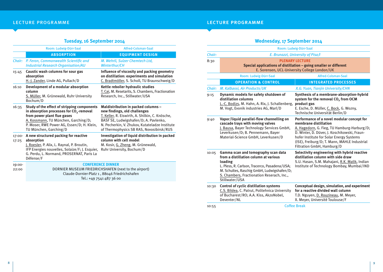## **Tuesday, 16 September 2014**

|                 | Room: Ludwig-Dürr-Saal                                                                                                                                                                                                                             | Alfred-Colsman-Saal                                                                                                                                                                                                                                           |
|-----------------|----------------------------------------------------------------------------------------------------------------------------------------------------------------------------------------------------------------------------------------------------|---------------------------------------------------------------------------------------------------------------------------------------------------------------------------------------------------------------------------------------------------------------|
|                 | <b>ABSORPTION</b>                                                                                                                                                                                                                                  | <b>EQUIPMENT DESIGN</b>                                                                                                                                                                                                                                       |
| Chair:          | P. Feron, Commonwealth Scientific and<br><b>Industrial Research Organisation/AU</b>                                                                                                                                                                | M. Wehrli, Sulzer Chemtech Ltd,<br><b>Winterthur/CH</b>                                                                                                                                                                                                       |
| 15:45           | Caustic wash columns for sour gas<br>absorption<br>H.-J. Zander, Linde AG, Pullach/D                                                                                                                                                               | Influence of viscosity and packing geometry<br>on distillation: experiments and simulation<br>C. Bradtmöller, S. Scholl, TU Braunschweig/D                                                                                                                    |
| 16:10           | Development of a modular absorption<br>column<br>S. Müller, M. Grünewald, Ruhr University<br>Bochum/D                                                                                                                                              | Kettle reboiler hydraulic studies<br>T. Cai, M. Resetarits, S. Chambers, Fractionation<br>Research, Inc., Stillwater/USA                                                                                                                                      |
| 16:35           | Study of the effect of stripping components<br>in absorption processes for CO <sub>2</sub> -removal<br>from power plant flue gases<br>A. Kossmann, TU München, Garching/D;<br>P. Moser, RWE Power AG, Essen/D; H. Klein,<br>TU München, Garching/D | Maldistribution in packed columns -<br>new findings, old challenges<br>T. Keller, R. Eiswirth, A. Shilkin, C. Knösche,<br>BASF SE, Ludwigshafen/D; A. Pavlenko,<br>N. Pecherkin, V. Zhukov, Kutateladze Institute<br>of Thermophysics SB RAS, Novosibirsk/RUS |
| 17:00-<br>17:25 | A new structured packing for reactive<br>absorption<br>J. Roesler, P. Alix, L. Raynal, P. Broutin,<br>IFP Energies nouvelles, Solaize/F; J. Esquier,<br>G. Perdu, L. Normand, PROSERNAT, Paris La<br>Défense/F                                     | Investigation of liquid distribution in packed<br>column with cell model<br>M. Kosir, G. Zheng, M. Grünewald,<br>Ruhr University, Bochum/D                                                                                                                    |
| 19:00-<br>22:00 |                                                                                                                                                                                                                                                    | <b>CONFERENCE DINNER</b><br>DORNIER MUSEUM FRIEDRICHSHAFEN (next to the airport)                                                                                                                                                                              |

Claude-Dornier-Platz 1 , 88046 Friedrichshafen Tel.: +49 7541 487 36 00

## lecture programme lecture programme programme

## **Wednesday, 17 September 2014**

|        |                                                                                                                                                                                                                                                        | Room: Ludwig-Dürr-Saal                                                                                                                                                                                                                                                                       |  |
|--------|--------------------------------------------------------------------------------------------------------------------------------------------------------------------------------------------------------------------------------------------------------|----------------------------------------------------------------------------------------------------------------------------------------------------------------------------------------------------------------------------------------------------------------------------------------------|--|
| Chair: | E. Brunazzi, University of Pisa/I                                                                                                                                                                                                                      |                                                                                                                                                                                                                                                                                              |  |
| 8:30   |                                                                                                                                                                                                                                                        | <b>PLENARY LECTURE</b><br>Special applications of distillation - going smaller or different<br>E. Sorensen, UCL-University College London/UK                                                                                                                                                 |  |
|        | Room: Ludwig-Dürr-Saal                                                                                                                                                                                                                                 | Alfred-Colsman-Saal                                                                                                                                                                                                                                                                          |  |
|        | <b>OPERATION &amp; CONTROL</b>                                                                                                                                                                                                                         | <b>INTEGRATED PROCESSES</b>                                                                                                                                                                                                                                                                  |  |
| Chair: | M. Kalbassi, Air Products/UK                                                                                                                                                                                                                           | X.G. Yuan, Tianjin University/CHN                                                                                                                                                                                                                                                            |  |
| 9:15   | Dynamic models for safety shutdown of<br>distillation columns<br>L.-C. Bodizs, M. Hahn, A. Rix, J. Schallenberg,<br>M. Vogt, Evonik industries AG, Marl/D                                                                                              | Synthesis of a membrane-absorption-hybrid<br>system for the removal CO <sub>2</sub> from OCM<br>product gas<br>E. Esche, D. Müller, C. Bock, G. Wozny,<br>Technische Universität Berlin/D                                                                                                    |  |
| 9:40   | Vapor/liquid parallel-flow channelling on<br>cascade trays with moving valves<br>J. Bausa, Bayer Technology Services GmbH,<br>Leverkusen/D; B. Pennemann, Bayer<br>Material-Science GmbH, Leverkusen/D                                                 | Performance of a novel modular concept for<br>membrane distillation<br>A. Hagedorn, G. Fieg, TU Hamburg-Harburg/D;<br>D. Winter, D. Düver, J. Koschikowski, Fraun-<br>hofer Institute for Solar Energy Systems<br>(ISE), Freiburg/D; T. Mann, MAHLE Industrial<br>Filtration GmbH, Hamburg/D |  |
| 10:05  | Gamma scan and tomography scan data<br>from a distillation column at various<br>loading<br>L. Pless, R. Carlson, Tracerco, Pasadena/USA;<br>M. Schultes, Raschig GmbH, Ludwigshafen/D;<br>S. Chambers, Fractionation Reserach, Inc.,<br>Stillwater/USA | Selectivity engineering with hybrid reactive<br>distillation column with side draw<br>S.U. Hasan, S.M. Mahajani, R.K. Malik, Indian<br>Institute of Technology Bombay, Mumbai/IND                                                                                                            |  |
| 10:30  | <b>Control of cyclic distillation systems</b><br>C.S. Bildea, C. Patrut, Politehnica University<br>of Bucharest/RO; A.A. Kiss, AkzoNobel,<br>Deventer/NL                                                                                               | Conceptual design, simulation, and experiment<br>for a reactive divided wall column<br>T.D. Nguyen, D. Rouzineau, M. Meyer,<br>X. Meyer, Université Toulouse/F                                                                                                                               |  |
| 10:55  | <b>Coffee Break</b>                                                                                                                                                                                                                                    |                                                                                                                                                                                                                                                                                              |  |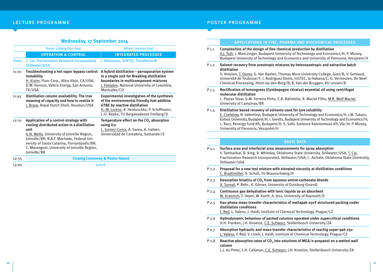### lecture programme

## **Wednesday, 17 September 2014**

|        | Room: Ludwig-Dürr-Saal                                                                                                                                                                                                                                                                                       | Alfred-Colsman-Saal                                                                                                                                                                                                                 |
|--------|--------------------------------------------------------------------------------------------------------------------------------------------------------------------------------------------------------------------------------------------------------------------------------------------------------------|-------------------------------------------------------------------------------------------------------------------------------------------------------------------------------------------------------------------------------------|
|        | <b>OPERATION &amp; CONTROL</b>                                                                                                                                                                                                                                                                               | <b>INTEGRATED PROCESSES</b>                                                                                                                                                                                                         |
| Chair: | T. Cai, Fractionation Research Incorporated,<br>Stillwater/USA                                                                                                                                                                                                                                               | I. Halvorsen, SINTEF, Trondheim/N                                                                                                                                                                                                   |
| 11:20  | Troubleshooting a hot vapor bypass control<br>instability<br>H. Kister, Fluor Corp., Aliso Viejo, CA/USA;<br>D.W. Hanson, Valero Energy, San Antonio,<br>TX/USA                                                                                                                                              | A hybrid distillation - pervaporation system<br>in a single unit for Breaking distillation<br>boundaries in multicomponent mixtures<br>J. Fontalvo, National University of Colombia,<br>Manizales/CO                                |
| 11:45  | Distillation column availability. The true<br>meaning of capacity and how to realize it<br>J. Bravo, Royal Dutch Shell, Houston/USA                                                                                                                                                                          | <b>Experimental investigation of the synthesis</b><br>of the environmental friendly fuel additive<br><b>GTBE by reactive distillation</b><br>H.-M. Lorenz, R. Heiduschke, P. Schiffmann,<br>J.-U. Repke, TU Bergakademie Freiberg/D |
| 12:10  | Application of a control strategy with<br>cooling distributed action in a distillation<br>unit<br>G.N. Mello, University of Joinville Region,<br>Joinville/BR; R.A.F. Machado, Federal Uni-<br>versity of Santa Catarina, Florianópolis/BR;<br>C. Marangoni, University of Joinville Region,<br>Joinville/BR | Temperature effect on the CO <sub>2</sub> absorption<br>using ILs<br>L. Gomez-Coma, A. Garea, A. Irabien,<br>Universidad de Cantabria, Santander/E                                                                                  |
| 12:35  |                                                                                                                                                                                                                                                                                                              | <b>Closing Ceremony &amp; Poster Award</b>                                                                                                                                                                                          |
| 13:00  |                                                                                                                                                                                                                                                                                                              | Lunch                                                                                                                                                                                                                               |

### poster programme

University of Pannonia, Veszprém/H

| <b>APPLICATIONS IN FINE, PHARMA AND BIOCHEMICAL PROCESSES</b> |  |  |
|---------------------------------------------------------------|--|--|
|                                                               |  |  |

| $P_{1,1}$        | Complexities of the design of fine chemical production by distillation<br>A.J. Toth, J. Manczinger, Budapest University of Technology and Economics/H; P. Mizsey,<br>Budapest University of Technology and Economics and University of Pannonia, Veszprem/H                                                                                                           |
|------------------|-----------------------------------------------------------------------------------------------------------------------------------------------------------------------------------------------------------------------------------------------------------------------------------------------------------------------------------------------------------------------|
| $P_{1,2}$        | Solvent recovery from azeotropic mixtures by heteroazetropic and extractive batch<br>distillation<br>S. Vreysen, T. Ooms, G. Van Baelen, Thomas More University College, Geel/B; V. Gerbaud,<br>Université de Toulouse/F; I. Rodriguez-Donis, InSTEC, la Habana/C; G. Vermeulen, De Neef<br>Chemical Processing, Heist-op-den-Berg/B; B. Van der Bruggen, KU Leuven/B |
| P <sub>1.3</sub> | Rectification of lemongrass (Cymbopogon citratus) essential oil using centrifugal<br>molecular distillation<br>L. Plazas Tovar, G.M. Ferreira Pinto, C.B. Batistella, R. Maciel Filho, M.R. Wolf Maciel,<br>University of Campinas/BR                                                                                                                                 |
| $P_{1.4}$        | Distillation based recovery of solvents used for tyre solubility<br>E. Csefalvay, N. Valentinyi, Budapest University of Technology and Economics/H; J.M. Tukacs,<br>Eotvos University, Budapest/H; I. Gresits, Budapest University of Technology and Economics/H;                                                                                                     |

## **BASIC DATA**

L. Racz, Renergy Fund Kft, Budapest/H; S. Solti, Szelence Kamionmosó Kft, Vác/H; P. Mizsey,

| Surface area and interfacial area measurements for spray absorption<br>Y. Tamhankar, B. King, R. Whiteley, Oklahoma State University, Stillwater/USA; T. Cai,<br>Fractionation Research Incorporated, Stillwater/USA; C. Aichele, Oklahoma State University,<br>Stillwater/USA |
|--------------------------------------------------------------------------------------------------------------------------------------------------------------------------------------------------------------------------------------------------------------------------------|
| Proposal for a new test mixture with elevated viscosity at distillation conditions<br>C. Bradtmöller, S. Scholl, TU Braunschweig/D                                                                                                                                             |
| Desorption kinetics of CO <sub>2</sub> from aqueous amine-carbonate-blends<br>A. Tunnat, P. Behr., K. Görner, University of Duisburg-EssenD                                                                                                                                    |
| Continuous gas dehydration with ionic liquids as an absorbent<br>M. Krannich, F. Heym, W. Korth, A. Jess, University of Bayreuth/D                                                                                                                                             |
| Gas-phase mass-transfer characteristics of mellapak 250Y structured packing under<br>distillation conditions<br>F. Rejl, L. Valenz, J. Haidl, Institute of Chemical Technology, Prague/CZ                                                                                      |
| Hydrodynamic behaviour of packed columns operated under supercritical conditions<br>H.H. Franken, J.H. Knoetze, C.E. Schwarz, Stellenbosch University/ZA                                                                                                                       |
| Absorption hydraulic and mass-transfer characteristics of raschig super-pak 250<br>L. Valenz, F. Rejl, V. Linek, J. Haidl, Institute of Chemical Technology, Prague/CZ                                                                                                         |
| Reactive absorption rates of CO <sub>2</sub> into solutions of MEA/n-propanol on a wetted wall<br>column<br>L.J. du Preez, L.H. Callanan, C.E. Schwarz, J.H. Knoetze, Stellenbosch University/ZA                                                                               |
|                                                                                                                                                                                                                                                                                |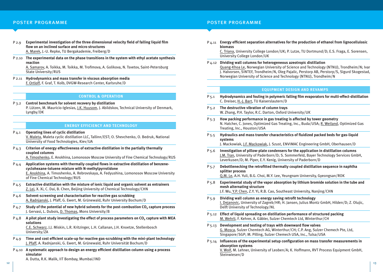#### poster programme poster programme

- P 2.9 **Experimental investigation of the three dimensional velocity field of falling liquid film flow on an inclined surface and micro structures** A. Marek, J.-U. Repke, TU Bergakademie, Freiberg/D
- P 2.10 **The experimental data on the phase transitions in the system with ethyl acetate synthesis reaction**

A. Samarov, A. Toikka, M. Toikka, M. Trofimova, A. Golikova, N. Tsvetov, Saint-Petersburg State University/RUS

P 2.11 **Hydrodynamics and mass transfer in viscous absorption media** F. Ortloff, F. Graf, T. Kolb, DVGW-Research Center, Karlsruhe/D

#### **Control & Operation**

P 3.2 **Control benchmark for solvent recovery by distillation** P. Lützen, M. Mauricio-Iglesias, J.K. Huusom, J. Abildskov, Technical University of Denmark, Lyngby/DK

#### **Energy Efficiency and Technology**

- P 4.1 **Operating lines of cyclic distillation** V. Maleta, Maleta cyclic distillation LLC, Tallinn/EST; O. Shevchenko, O. Bedruk, National University of Food Technologies, Kiev/UA
- P 4.3 **Criterion of energy effectiveness of extractive distillation in the partially thermally coupled columns**

A. Timoshenko, E. Anokhina, Lomonosov Moscow University of Fine Chemical Technology/RUS

- P 4.4 **Application systems with thermally coupled flows in extractive distillation of benzenecyclohexane-toluene mixture with N-methylpyrrolidone** E. Anokhina, A. Timoshenko, A. Rebrovskaya, A. Fedyushina, Lomonosov Moscow University of Fine Chemical Technology/RUS
- P 4.5 **Extractive distillation with the mixture of ionic liquid and organic solvent as entrainers** Z. Lei, X. Xi, C. Dai, B. Chen, Beijing University of Chemical Technology/CHN
- P 4.6 **Solvent-screening and characterisation for reactive gas scrubbing** A. Radnjanski, J. Pfaff, G. Ewert, M. Grünewald, Ruhr University Bochum/D
- P 4.7 **Study of the potential of new hybrid solvents for the post-combustion CO<sub>2</sub> capture process** J. Gervasi, L. Dubois, D. Thomas, Mons University/B
- P 4.8 A pilot plant study investigating the effect of process parameters on CO<sub>2</sub> capture with MEA **solutions**

C.E. Schwarz, J.J. Miskin, L.R. Kritzinger, L.H. Callanan, J.H. Knoetze, Stellenbosch University/ZA

- P 4.9 **Time and cost efficient scale-up for reactive gas-scrubbing with the mini-plant technology** J. Pfaff, A. Radnjanski, G. Ewert, M. Grünewald, Ruhr Universität Bochum/D
- P 4.10 **A systematic approach to design an energy efficient distillation column using a process simulator**

A. Dutta, R.K. Malik, IIT Bombay, Mumbai/IND

P 4.11 **Energy efficient separation alternatives for the production of ethanol from lignocellulosic biomass**

C. Triana, University College London/UK; P. Lutze, TU Dortmund/D; E.S. Fraga, E. Sorensen, University College London/UK

P 4.12 **Dividing wall columns for heterogeneous azeotropic distillation**

Quang-Khoa Le, Norwegian University of Science and Technology (NTNU), Trondheim/N; Ivar J. Halvorsen, SINTEF, Trondheim/N, Oleg Pajalic, Perstorp AB, Perstorp/S, Sigurd Skogestad, Norwegian University of Science and Technology (NTNU), Trondheim/N

#### **Equipment Design and Revamps**

- P 5.1 **Hydrodynamics and fouling in polymeric falling film evaporators for multi-effect-distillation** C. Dreiser, H.-J. Bart, TU Kaiserslautern/D
- P 5.2 **The destructive vibration of column trays** W. Zhang, P.H. Taylor, R.C. Darton, Oxford University/UK
- P 5.3 **How packing performance in gas treating is affected by tower geometry** N. Hatcher, C. Jones, Optimized Gas Treating, Inc., Buda/USA; R. Weiland, Optimized Gas Treating, Inc., Houston/USA
- P 5.5 **Hydraulics and mass transfer characteristics of fluidized packed beds for gas-liquid systems**

J. Mackowiak, J.F. Mackowiak, J. Szust, ENVIMAC Engineering GmbH, Oberhausen/D

- P 5.6 **Investigation of pillow-plate condensers for the application in distillation columns** J.M. Tran, University of Paderborn/D; S. Sommerfeld, Bayer Technology Services GmbH, Leverkusen/D; M. Piper, E.Y. Kenig, University of Paderborn/D
- P 5.7 **Debottlenecking the retrofitted thermally coupled distillation sequence in naphtha splitter process** Q.M. Le, A.H. Yuli, B.G. Choi, M.Y. Lee, Yeungnam University, Gyeongsan/ROK
- P 5.8 **Experimental study of the vapor absorption by lithium bromide solution in the tube and mesh alternating structure**

J.F. Wu, Y.P. Chen, Z.Y. Yi, R.B. Cao, Southeast University, Nanjing/CHN

- P 5.9 **Dividing wall column as energy saving retrofit technology** I. Dejanovic, University of Zagreb/HR; H. Jansen, Julius Montz GmbH, Hilden/D; Z. Olujic, Delft University of Technology/NL
- P 5.12 **Effect of liquid spreading on distillation performance of structured packing** M. Wehrli, F. Kehrer, A. Gäbler, Sulzer Chemtech Ltd, Winterthur/CH
- P 5.13 **Development and testing of trays with downward flow valves** G. Mosca, Sulzer Chemtech AG, Winterthur/CH; C.P. Ang, Sulzer Chemech Pte, Ltd, Singapore/SGP; M. Pilling, Sulzer Chemech USA, Inc., Tulsa/USA
- P 5.14 **Influences of the experimental setup configuration on mass transfer measurements in absorption systems**

V. Wolf, M. Lehner, University of Leoben/A; K. Hoffmann, RVT Process Equipment GmbH, Steinwiesen/D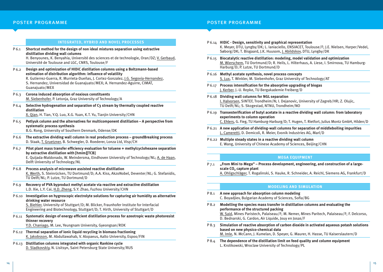#### **Integrated, Hybrid and Novel Processes**

P 6.1 **Shortcut method for the design of non ideal mixtures separation using extractive distillation dividing wall columns**

H. Benyounes, K. Benyahia, Université des sciences et de technologie, Oran/DZ; V. Gerbaud, Université de Toulouse and LGC, CNRS, Toulouse/F

- P 6.2 **Design and optimization of HIDiC distillation columns using a Boltzmann-based estimation of distribution algorithm: influence of volatility** R. Gutierrez-Guerra, R. Murrieta-Dueñas, J. Cortez-Gonzalez, J.G. Segovia-Hernandez, S. Hernandez, Universidad de Guanajuato/MEX; A. Hernandez-Aguirre, CIMAT, Guanajuato/MEX
- P 6.3 **Corona induced absorption of noxious constituents** M. Siebenhofer, P. Letonja, Graz University of Technology/A
- P 6.4 **Selective hydrogenation and separation of C3 stream by thermally coupled reactive distillation**

X. Qian, H. Tian, Y.Q. Luo, X.G. Yuan, K.T. Yu, Tianjin University/CHN

- P 6.5 **Petlyuk column and the alternatives for multicomponent distillation A perspective from systematic process synthesis** B.G. Rong, University of Southern Denmark, Odense/DK
- P 6.6 **The extractive dividing wall column in real production process groundBreaking process** D. Staak, T. Gruetzner, B. Schwegler, D. Roederer, Lonza Ltd, Visp/CH
- P 6.7 **Pilot plant mass transfer efficiency evaluation for toluene + methylcyclohexane separation by extractive distillation with [hmim][TCB]** E. Quijada-Maldonado, W. Meindersma, Eindhoven University of Technology/NL; A. de Haan, Delft University of Technology/NL
- P 6.8 **Process analysis of microwave assisted reactive distillation** K. Werth, S. Steinrücken, TU Dortmund/D; A.A. Kiss, AkzoNobel, Deventer/NL; G. Stefanidis, TU Delft/NL; P. Lutze, TU Dortmund/D
- P 6.9 **Recovery of PVA byproduct methyl acetate via reactive and extractive distillation** L.D. Xie, L.Y. Cai, H.D. Zheng, S.Y. Zhao, Fuzhou University/CHN
- P 6.10 **Investigation on hygroscopic electrolyte solutions for capturing air humidity as alternative drinking water resource**

S. Biehler, University of Stuttgart/D; M. Blicker, Fraunhofer Institute for Interfacial Engineering and Biotechnology, Stuttgart/D; T. Hirth, University of Stuttgart/D

P 6.11 **Systematic design of energy efficient distillation process for azeotropic waste photoresist thinner recovery**

Y.D. Chaniago, M. Lee, Yeungnam University, Gyeongsan/ROK

- P 6.12 **Thermal separation of ionic liquid recycling in biomass fractioning** K. Jakobsson, M. Abdullawahab, V. Alopaeus, Aalto University, Espoo/FIN
- P 6.13 **Distillation columns integrated with organic Rankine cycle** D. Sladkovskiy, N. Lisitsyn, Saint Petersburg State University/RUS

### poster programme poster programme

|        | P6.14 HIDIC - Design, sensitivity and graphical representation<br>K. Meyer, DTU, Lyngby/DK; L. Ianiaciello, ENSIACET, Toulouse/F; J.E. Nielsen, Harper/Vedel,<br>Søborg/DK; T. Bisgaard, J.K. Huusom, J. Abildskov, DTU, Lyngby/DK |
|--------|------------------------------------------------------------------------------------------------------------------------------------------------------------------------------------------------------------------------------------|
|        | P 6.15 Biocatalytic reactive distillation: modeling, model validation and optimization<br>M. Wierschem, TU Dortmund/D; R. Heils, L. Hilterhaus, A. Liese, I. Smirnova, TU Hamburg-<br>Harburg/D; P. Lutze, TU Dortmund/D           |
|        | P6.16 Methyl acetate synthesis, novel process concepts<br>S. Lux, T. Winkler, M. Siebenhofer, Graz University of Technology/AT                                                                                                     |
| P 6.17 | Process intensification for the absorptive upgrading of biogas<br>J. Kerber, J.-U. Repke, TU Bergakademie Freiberg/D                                                                                                               |
|        | P 6.18 Dividing wall columns for NGL separation<br>I. Halvorsen, SINTEF, Trondheim/N; I. Dejanovic, University of Zagreb/HR; Z. Olujic,<br>TU Delft/NL; S. Skogestad, NTNU, Trondheim/NO                                           |
|        | P 6.19 Transesterification of butyl acetate in a reactive dividing wall column: from laboratory<br>experiments to column operation<br>C. Ehlers, G. Fieg, TU Hamburg-Harburg/D; T. Hugen, T. Rietfort, Julius Montz GmbH, Hilden/D |
|        | P 6.21 A new application of dividing-wall columns for separation of middleboiling impurities<br>L. Cameretti, D. Demicoli, R. Meier, Evonik Industries AG, Marl/D                                                                  |
|        | P6.22 Multiple steady states in a reactive dividing wall column<br>E. Wang, University of Chinese Academy of Sciences, Beijing/CHN                                                                                                 |

#### **Mega Equipment**

P 7.1 **"From Mini to Mega" – Process development, engineering, and construction of a large**scale CO<sub>2</sub> capture plant A. Ohligschläger, T. Rogalinski, S. Hauke, R. Schneider, A. Reichl, Siemens AG, Frankfurt/D

### **Modeling and Simulation**

- P 8.1 **A new approach for absorption column modeling** C. Boyadjiev, Bulgarian Academy of Sciences, Sofia/BG
- P 8.2 **Modelling the species mass transfer in distillation columns and evaluating the performance of the structured packing** W. Said, Mines Paristech, Palaiseau/F; M. Nemer, Mines Paritech, Palaiseau/F; F. Delcorso, D. Bednarski, G. Cardon, Air Liquide, Jouy en Josas/F
- P 8.3 **Simulation of reactive absorption of carbon dioxide in activated aqueous potash solutions based on new physico-chemical data** M. Imle, N. McCann, J. Kumelan, D. Speyer, G. Maurer, H. Hasse, TU Kaiserslautern/D
- P 8.4 **The dependence of the distillation limit on feed quality and column equipment** L. Krolikowski, Wroclaw University of Technology/PL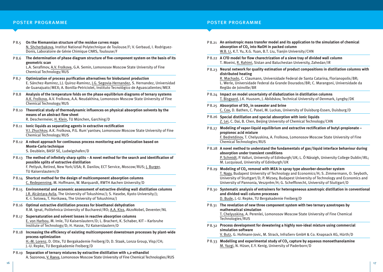### poster programme poster programme

- P 8.5 **On the Riemannian structure of the residue curves maps** N. Shcherbakova, Institut National Polytechnique de Toulouse/F; V. Gerbaud, I. Rodriguez-Donis, Laboratoire de Génie Chimique CNRS, Toulouse/F
- P 8.6 **The determination of phase diagram structure of five-component system on the basis of its geometric scan**

L.A. Serafimov, A.V. Frolkova, G.A. Semin, Lomonosov Moscow State University of Fine Chemical Technology/RUS

- P 8.7 **Optimization of process purification alternatives for biobutanol production** E. Sánchez-Ramirez, J.J. Quiroz-Ramirez, J.G. Segovia-Hernandez, S. Hernandez, Universidad de Guanajuato/MEX; A. Bonilla-Petriciolet, Instituto Tecnológico de Aguascalientes/MEX
- P 8.8 **Analysis of the temperature folds on the phase equilibrium diagrams of ternary systems** A.K. Frolkova, A.V. Frolkova, A.A. Neudakhina, Lomonosov Moscow State University of Fine Chemical Technology/RUS
- P 8.10 **Theoretical study of thermodynamic influences on physical absorption solvents by the means of an abstract flow sheet** R. Deschermeier, H. Klein, TU München, Garching/D
- P 8.11 **Ionic liquids as separating agents in extractive rectification** V.I. Zhuchkov, A.K. Frolkova, P.G. Rum´yantsev, Lomonosov Moscow State University of Fine Chemical Technology/RUS
- P 8.12 **A robust approach for continuous process monitoring and optimization based on Monte-Carlo technique** S. Deublein, BASF SE, Ludwigshafen/D
- P 8.13 **The method of infinitely sharp splits A novel method for the search and identification of possible splits of extractive distillation** F. Petlyuk, Retired, New York/USA; R. Danilov, ECT Service, Moscow/RUS; J. Burger, TU Kaiserslautern/D
- P 8.14 **Shortcut method for the design of multicomponent absorption columns** C. Redepenning, M. Hoffmann, W. Marquardt, RWTH Aachen University/D
- P 8.15 **Environmental and economic assessment of extractive dividing wall distillation columns** J.R. Alcántara Avila, The University of Tokushima/J; S. Hasebe, Kyoto University/J; K.-I. Sotowa, T. Horikawa, The University of Tokushima/J
- P 8.16 **Optimal extractive distillation process for bioethanol dehydration** R.M. Ignat, Politehnica University of Bucharest/RO; A.A. Kiss, AkzoNobel, Deventer/NL
- P 8.17 **Supersaturation and solvent losses in reactive absorption columns** E. von Harbou, M. Imle, TU Kaiserslautern/D; L. Brachert, K. Schaber, KIT – Karlsruhe Institute of Technology/D; H. Hasse, TU Kaiserslautern/D
- P 8.18 **Increasing the efficiency of existing multicomponent downstream processes by plant-wide process optimization** H.-M. Lorenz, D. Otte, TU Bergakademie Freiberg/D; D. Staak, Lonza Group, Visp/CH; J.-U. Repke, TU Bergakademie Freiberg/D
- P 8.19 **Separation of ternary mixtures by extractive distillation with 1,2-ethandiol** A. Sazonova, V. Raeva, Lomonosov Moscow State University of Fine Chemical Technologies/RUS

- P 8.21 **An anisotropic mass transfer model and its application to the simulation of chemical**  absorption of CO<sub>2</sub> into NaOH in packed column W.B. Li, K.T. Yu, X.G. Yuan, B.T. Liu, Tianjin University/CHN P 8.22 **A CFD model for flow charectrization of a sieve tray of divided wall column** T. Moeini, R. Rahimi, Sistan and Baluchestan University, Zahedan/IR P 8.23 **Neural network for quality estimation of product compositions in distillation columns with distributed heating** R. Machado, C. Claumann, Universidade Federal de Santa Catarina, Florianopolis/BR; L. Werle, Universidade Federal da Grande Dourados/BR; C. Marangoni, Universidade da Região de Joinville/BR P 8.24 **Impact on model uncertainty of diabatization in distillation columns** T. Bisgaard, J.K. Huusom, J. Abildskov, Technical University of Denmark, Lyngby/DK P 8.25 **Absorption of SO<sub>2</sub>** in seawater and brine C. Cox, D. Bathen, C. Pasel, M. Luckas, University of Duisburg-Essen, Duisburg/D P 8.26 **Special distillation and special absorption with ionic liquids** Z. Lei, C. Dai, B. Chen, Beijing University of Chemical Technology/CHN P 8.27 **Modeling of vapor-liquid equilibrium and extractive rectification of butyl-propionate – propionoc acid mixture** F. Bedretdinov, T. Chelyuskina, A. Frolkova, Lomonosov Moscow State University of Fine Chemical Technologies/RUS P 8.28 **A novel method to understand the fundamentals of gas/liquid interface behaviour during absorption under transient conditions** P. Schmidt, P. Valluri, University of Edinburgh/UK; L. Ó Náraigh, University College Dublin/IRL; M. Lucquiaud, University of Edinburgh/UK P 8.29 Modeling of CO<sub>2</sub> removal with MEA in spray type absorber-desorber system T. Nagy, Budapest University of Technology and Economics/H; S. Zimmermann, O. Seyboth, University of Stuttgart/D; P. Mizsey, Budapest University of Technology and Economics and University of Pannonia, Veszprém/H; G. Scheffknecht, University of Stuttgart/D P 8.30 **Systematic analysis of entrainers for heterogeneous azeotropic distillation in conventional and divided-wall column processes** D. Bude, J.-U. Repke, TU Bergakademie Freiberg/D P 8.31 **The revelation of new three component system with two ternary azeotropes by mathematical simulation** T. Chelyuskina, A. Perenlei, Lomonosov Moscow State University of Fine Chemical Technologies/RUS P 8.32 **Process development for dewatering a highly non-ideal mixture using commercial simulation software** V. Butz, G. Hofmann-Jovic, M. Strack, InfraServ GmbH & Co. Knapsack KG, Hürth/D
- P 8.33 **Modelling and experimental study of CO2 capture by aqueous monoethanolamine** M. Yazgi, N. Hüser, E.Y. Kenig, University of Paderborn/D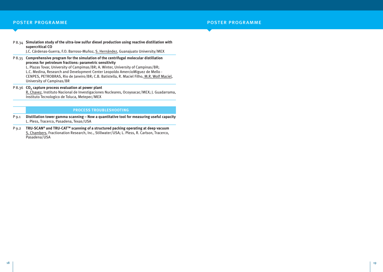P 8.34 **Simulation study of the ultra-low sulfur diesel production using reactive distillation with supercritical CO**

J.C. Cárdenas-Guerra, F.O. Barroso-Muñoz, S. Hernández, Guanajuato University/MEX

P 8.35 **Comprehensive program for the simulation of the centrifugal molecular distillation process for petroleum fractions: parametric sensitivity**

L. Plazas Tovar, University of Campimas/BR; A. Winter, University of Campinas/BR; L.C. Medina, Research and Development Center Leopoldo AmercioMiguez de Mello - CENPES, PETROBRAS, Rio de Janeiro/BR; C.B. Batistella, R. Maciel Filho, M.R. Wolf Maciel, University of Campinas/BR

P 8.36 **CO<sub>2</sub> capture process evaluation at power plant** R. Chavez, Instituto Nacional de Investigaciones Nucleares, Ocoyoacac/MEX; J. Guadarrama, Instituto Tecnologico de Toluca, Metepec/MEX

#### **Process Troubleshooting**

- P 9.1 **Distillation tower gamma scanning Now a quantitative tool for measuring useful capacity** L. Pless, Tracerco, Pasadena, Texas/USA
- P 9.2 **TRU-SCAN® and TRU-CATTM scanning of a structured packing operating at deep vacuum** S. Chambers, Fractionation Research, Inc., Stillwater/USA; L. Pless, R. Carlson, Tracerco, Pasadena/USA